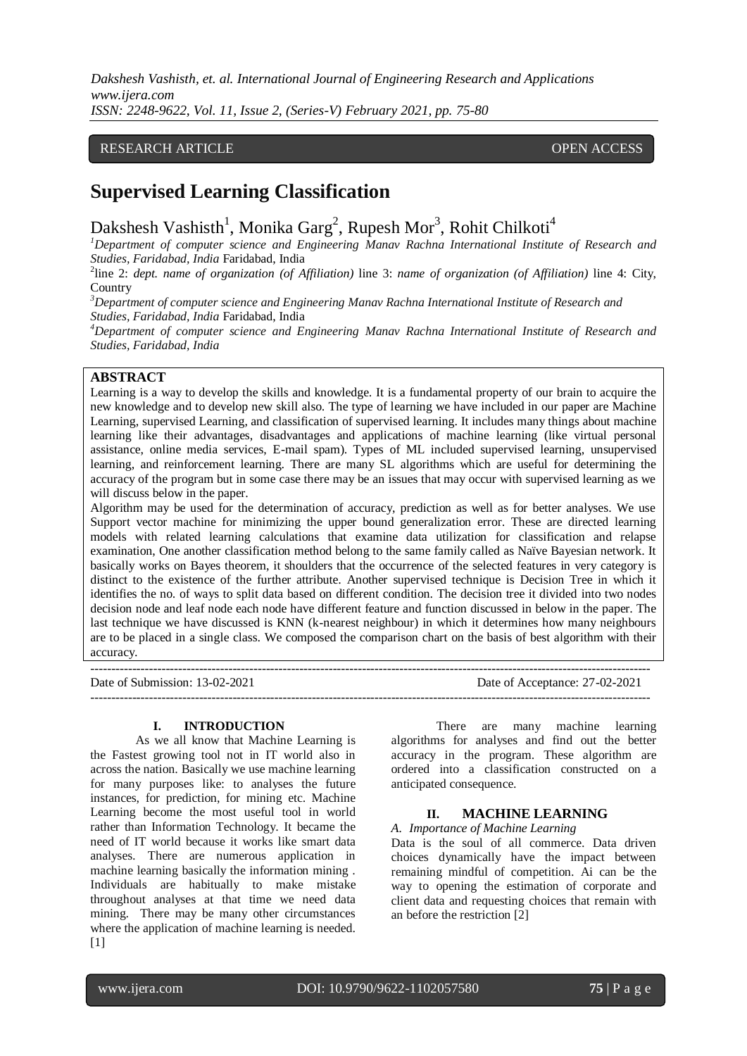*Dakshesh Vashisth, et. al. International Journal of Engineering Research and Applications www.ijera.com ISSN: 2248-9622, Vol. 11, Issue 2, (Series-V) February 2021, pp. 75-80*

## RESEARCH ARTICLE **CONSERVERS** OPEN ACCESS

# **Supervised Learning Classification**

Dakshesh Vashisth<sup>1</sup>, Monika Garg<sup>2</sup>, Rupesh Mor<sup>3</sup>, Rohit Chilkoti<sup>4</sup>

*<sup>1</sup>Department of computer science and Engineering Manav Rachna International Institute of Research and Studies, Faridabad, India* Faridabad, India

2 line 2: *dept. name of organization (of Affiliation)* line 3: *name of organization (of Affiliation)* line 4: City, **Country** 

*<sup>3</sup>Department of computer science and Engineering Manav Rachna International Institute of Research and Studies, Faridabad, India* Faridabad, India

*<sup>4</sup>Department of computer science and Engineering Manav Rachna International Institute of Research and Studies, Faridabad, India*

# **ABSTRACT**

Learning is a way to develop the skills and knowledge. It is a fundamental property of our brain to acquire the new knowledge and to develop new skill also. The type of learning we have included in our paper are Machine Learning, supervised Learning, and classification of supervised learning. It includes many things about machine learning like their advantages, disadvantages and applications of machine learning (like virtual personal assistance, online media services, E-mail spam). Types of ML included supervised learning, unsupervised learning, and reinforcement learning. There are many SL algorithms which are useful for determining the accuracy of the program but in some case there may be an issues that may occur with supervised learning as we will discuss below in the paper.

Algorithm may be used for the determination of accuracy, prediction as well as for better analyses. We use Support vector machine for minimizing the upper bound generalization error. These are directed learning models with related learning calculations that examine data utilization for classification and relapse examination, One another classification method belong to the same family called as Naïve Bayesian network. It basically works on Bayes theorem, it shoulders that the occurrence of the selected features in very category is distinct to the existence of the further attribute. Another supervised technique is Decision Tree in which it identifies the no. of ways to split data based on different condition. The decision tree it divided into two nodes decision node and leaf node each node have different feature and function discussed in below in the paper. The last technique we have discussed is KNN (k-nearest neighbour) in which it determines how many neighbours are to be placed in a single class. We composed the comparison chart on the basis of best algorithm with their accuracy.

-------------------------------------------------------------------------------------------------------------------------------------- Date of Submission: 13-02-2021 Date of Acceptance: 27-02-2021

--------------------------------------------------------------------------------------------------------------------------------------

#### **I. INTRODUCTION**

As we all know that Machine Learning is the Fastest growing tool not in IT world also in across the nation. Basically we use machine learning for many purposes like: to analyses the future instances, for prediction, for mining etc. Machine Learning become the most useful tool in world rather than Information Technology. It became the need of IT world because it works like smart data analyses. There are numerous application in machine learning basically the information mining . Individuals are habitually to make mistake throughout analyses at that time we need data mining. There may be many other circumstances where the application of machine learning is needed. [1]

There are many machine learning algorithms for analyses and find out the better accuracy in the program. These algorithm are ordered into a classification constructed on a anticipated consequence.

## **II. MACHINE LEARNING**

*A. Importance of Machine Learning*

Data is the soul of all commerce. Data driven choices dynamically have the impact between remaining mindful of competition. Ai can be the way to opening the estimation of corporate and client data and requesting choices that remain with an before the restriction [2]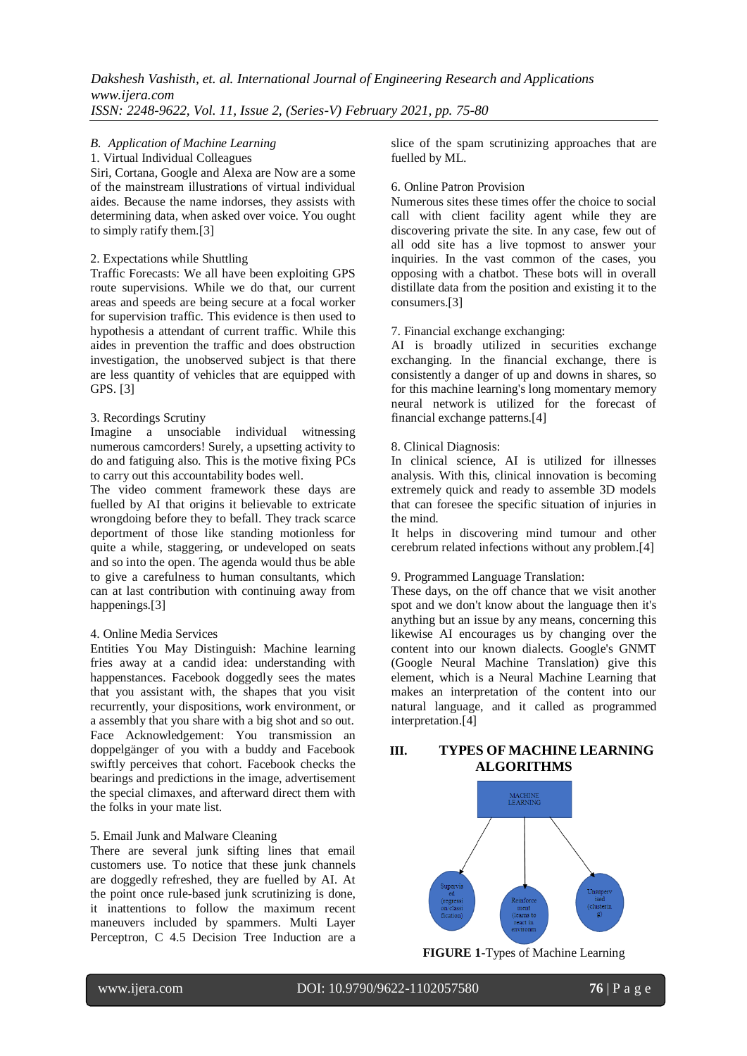## *B. Application of Machine Learning*

#### 1. Virtual Individual Colleagues

Siri, Cortana, Google and Alexa are Now are a some of the mainstream illustrations of virtual individual aides. Because the name indorses, they assists with determining data, when asked over voice. You ought to simply ratify them.[3]

#### 2. Expectations while Shuttling

Traffic Forecasts: We all have been exploiting GPS route supervisions. While we do that, our current areas and speeds are being secure at a focal worker for supervision traffic. This evidence is then used to hypothesis a attendant of current traffic. While this aides in prevention the traffic and does obstruction investigation, the unobserved subject is that there are less quantity of vehicles that are equipped with GPS. [3]

#### 3. Recordings Scrutiny

Imagine a unsociable individual witnessing numerous camcorders! Surely, a upsetting activity to do and fatiguing also. This is the motive fixing PCs to carry out this accountability bodes well.

The video comment framework these days are fuelled by AI that origins it believable to extricate wrongdoing before they to befall. They track scarce deportment of those like standing motionless for quite a while, staggering, or undeveloped on seats and so into the open. The agenda would thus be able to give a carefulness to human consultants, which can at last contribution with continuing away from happenings.[3]

#### 4. Online Media Services

Entities You May Distinguish: Machine learning fries away at a candid idea: understanding with happenstances. Facebook doggedly sees the mates that you assistant with, the shapes that you visit recurrently, your dispositions, work environment, or a assembly that you share with a big shot and so out. Face Acknowledgement: You transmission an doppelgänger of you with a buddy and Facebook swiftly perceives that cohort. Facebook checks the bearings and predictions in the image, advertisement the special climaxes, and afterward direct them with the folks in your mate list.

#### 5. Email Junk and Malware Cleaning

There are several junk sifting lines that email customers use. To notice that these junk channels are doggedly refreshed, they are fuelled by AI. At the point once rule-based junk scrutinizing is done, it inattentions to follow the maximum recent maneuvers included by spammers. Multi Layer Perceptron, C 4.5 Decision Tree Induction are a slice of the spam scrutinizing approaches that are fuelled by ML.

#### 6. Online Patron Provision

Numerous sites these times offer the choice to social call with client facility agent while they are discovering private the site. In any case, few out of all odd site has a live topmost to answer your inquiries. In the vast common of the cases, you opposing with a chatbot. These bots will in overall distillate data from the position and existing it to the consumers.[3]

#### 7. Financial exchange exchanging:

AI is broadly utilized in securities exchange exchanging. In the financial exchange, there is consistently a danger of up and downs in shares, so for this machine learning's long momentary memory neural network is utilized for the forecast of financial exchange patterns.[4]

#### 8. Clinical Diagnosis:

In clinical science, AI is utilized for illnesses analysis. With this, clinical innovation is becoming extremely quick and ready to assemble 3D models that can foresee the specific situation of injuries in the mind.

It helps in discovering mind tumour and other cerebrum related infections without any problem.[4]

#### 9. Programmed Language Translation:

These days, on the off chance that we visit another spot and we don't know about the language then it's anything but an issue by any means, concerning this likewise AI encourages us by changing over the content into our known dialects. Google's GNMT (Google Neural Machine Translation) give this element, which is a Neural Machine Learning that makes an interpretation of the content into our natural language, and it called as programmed interpretation.[4]

# **III. TYPES OF MACHINE LEARNING ALGORITHMS**



**FIGURE 1**-Types of Machine Learning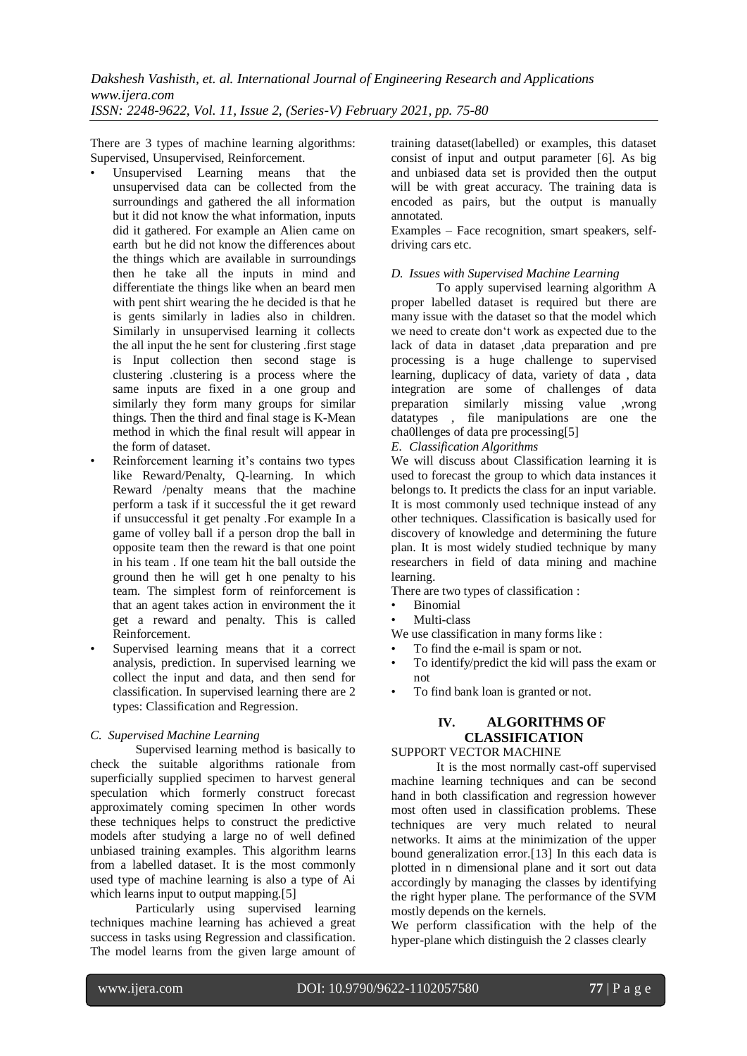There are 3 types of machine learning algorithms: Supervised, Unsupervised, Reinforcement.

- Unsupervised Learning means that the unsupervised data can be collected from the surroundings and gathered the all information but it did not know the what information, inputs did it gathered. For example an Alien came on earth but he did not know the differences about the things which are available in surroundings then he take all the inputs in mind and differentiate the things like when an beard men with pent shirt wearing the he decided is that he is gents similarly in ladies also in children. Similarly in unsupervised learning it collects the all input the he sent for clustering .first stage is Input collection then second stage is clustering .clustering is a process where the same inputs are fixed in a one group and similarly they form many groups for similar things. Then the third and final stage is K-Mean method in which the final result will appear in the form of dataset.
- Reinforcement learning it's contains two types like Reward/Penalty, Q-learning. In which Reward /penalty means that the machine perform a task if it successful the it get reward if unsuccessful it get penalty .For example In a game of volley ball if a person drop the ball in opposite team then the reward is that one point in his team . If one team hit the ball outside the ground then he will get h one penalty to his team. The simplest form of reinforcement is that an agent takes action in environment the it get a reward and penalty. This is called Reinforcement.
- Supervised learning means that it a correct analysis, prediction. In supervised learning we collect the input and data, and then send for classification. In supervised learning there are 2 types: Classification and Regression.

## *C. Supervised Machine Learning*

Supervised learning method is basically to check the suitable algorithms rationale from superficially supplied specimen to harvest general speculation which formerly construct forecast approximately coming specimen In other words these techniques helps to construct the predictive models after studying a large no of well defined unbiased training examples. This algorithm learns from a labelled dataset. It is the most commonly used type of machine learning is also a type of Ai which learns input to output mapping.<sup>[5]</sup>

Particularly using supervised learning techniques machine learning has achieved a great success in tasks using Regression and classification. The model learns from the given large amount of training dataset(labelled) or examples, this dataset consist of input and output parameter [6]. As big and unbiased data set is provided then the output will be with great accuracy. The training data is encoded as pairs, but the output is manually annotated.

Examples – Face recognition, smart speakers, selfdriving cars etc.

## *D. Issues with Supervised Machine Learning*

To apply supervised learning algorithm A proper labelled dataset is required but there are many issue with the dataset so that the model which we need to create don't work as expected due to the lack of data in dataset ,data preparation and pre processing is a huge challenge to supervised learning, duplicacy of data, variety of data , data integration are some of challenges of data preparation similarly missing value ,wrong datatypes , file manipulations are one the cha0llenges of data pre processing[5]

#### *E. Classification Algorithms*

We will discuss about Classification learning it is used to forecast the group to which data instances it belongs to. It predicts the class for an input variable. It is most commonly used technique instead of any other techniques. Classification is basically used for discovery of knowledge and determining the future plan. It is most widely studied technique by many researchers in field of data mining and machine learning.

There are two types of classification :

- Binomial
- Multi-class

We use classification in many forms like :

- To find the e-mail is spam or not.
- To identify/predict the kid will pass the exam or not
- To find bank loan is granted or not.

# **IV. ALGORITHMS OF CLASSIFICATION**

## SUPPORT VECTOR MACHINE

It is the most normally cast-off supervised machine learning techniques and can be second hand in both classification and regression however most often used in classification problems. These techniques are very much related to neural networks. It aims at the minimization of the upper bound generalization error.[13] In this each data is plotted in n dimensional plane and it sort out data accordingly by managing the classes by identifying the right hyper plane. The performance of the SVM mostly depends on the kernels.

We perform classification with the help of the hyper-plane which distinguish the 2 classes clearly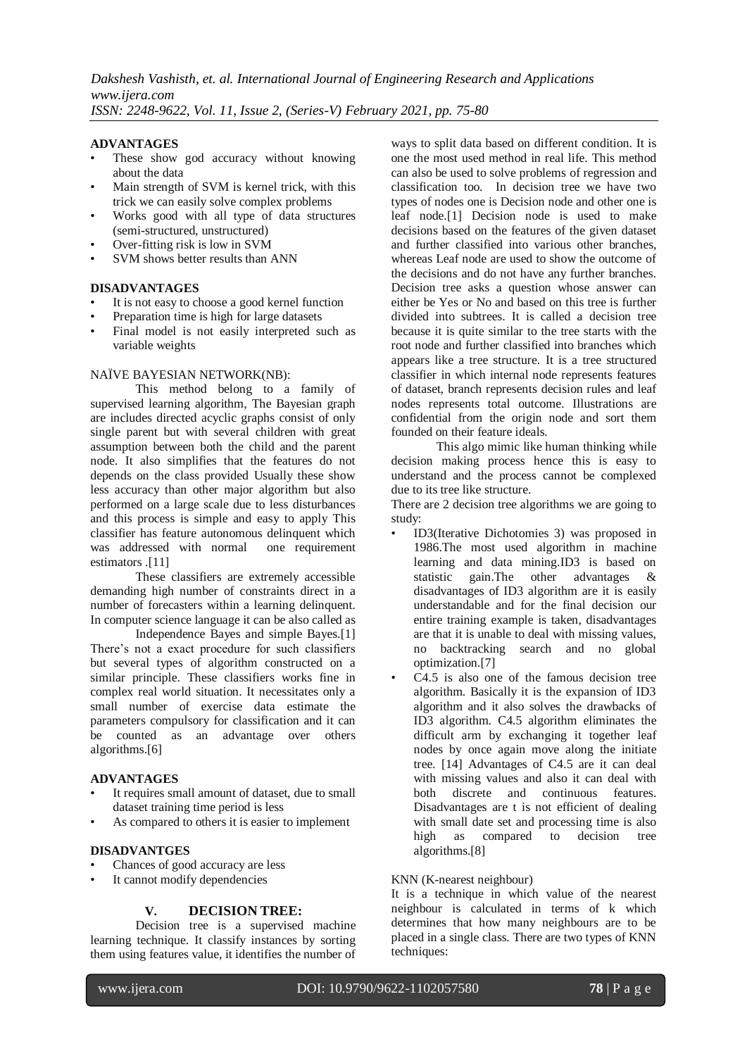## **ADVANTAGES**

- These show god accuracy without knowing about the data
- Main strength of SVM is kernel trick, with this trick we can easily solve complex problems
- Works good with all type of data structures (semi-structured, unstructured)
- Over-fitting risk is low in SVM
- SVM shows better results than ANN

#### **DISADVANTAGES**

- It is not easy to choose a good kernel function
- Preparation time is high for large datasets
- Final model is not easily interpreted such as variable weights

## NAÏVE BAYESIAN NETWORK(NB):

This method belong to a family of supervised learning algorithm, The Bayesian graph are includes directed acyclic graphs consist of only single parent but with several children with great assumption between both the child and the parent node. It also simplifies that the features do not depends on the class provided Usually these show less accuracy than other major algorithm but also performed on a large scale due to less disturbances and this process is simple and easy to apply This classifier has feature autonomous delinquent which was addressed with normal estimators .[11]

These classifiers are extremely accessible demanding high number of constraints direct in a number of forecasters within a learning delinquent. In computer science language it can be also called as

Independence Bayes and simple Bayes.[1] There's not a exact procedure for such classifiers but several types of algorithm constructed on a similar principle. These classifiers works fine in complex real world situation. It necessitates only a small number of exercise data estimate the parameters compulsory for classification and it can be counted as an advantage over others algorithms.[6]

## **ADVANTAGES**

- It requires small amount of dataset, due to small dataset training time period is less
- As compared to others it is easier to implement

## **DISADVANTGES**

- Chances of good accuracy are less
- It cannot modify dependencies

## **V. DECISION TREE:**

Decision tree is a supervised machine learning technique. It classify instances by sorting them using features value, it identifies the number of ways to split data based on different condition. It is one the most used method in real life. This method can also be used to solve problems of regression and classification too. In decision tree we have two types of nodes one is Decision node and other one is leaf node.[1] Decision node is used to make decisions based on the features of the given dataset and further classified into various other branches, whereas Leaf node are used to show the outcome of the decisions and do not have any further branches. Decision tree asks a question whose answer can either be Yes or No and based on this tree is further divided into subtrees. It is called a decision tree because it is quite similar to the tree starts with the root node and further classified into branches which appears like a tree structure. It is a tree structured classifier in which internal node represents features of dataset, branch represents decision rules and leaf nodes represents total outcome. Illustrations are confidential from the origin node and sort them founded on their feature ideals.

This algo mimic like human thinking while decision making process hence this is easy to understand and the process cannot be complexed due to its tree like structure.

There are 2 decision tree algorithms we are going to study:

- ID3(Iterative Dichotomies 3) was proposed in 1986.The most used algorithm in machine learning and data mining.ID3 is based on statistic gain.The other advantages & disadvantages of ID3 algorithm are it is easily understandable and for the final decision our entire training example is taken, disadvantages are that it is unable to deal with missing values, no backtracking search and no global optimization.[7]
- $C4.5$  is also one of the famous decision tree algorithm. Basically it is the expansion of ID3 algorithm and it also solves the drawbacks of ID3 algorithm. C4.5 algorithm eliminates the difficult arm by exchanging it together leaf nodes by once again move along the initiate tree. [14] Advantages of C4.5 are it can deal with missing values and also it can deal with both discrete and continuous features. Disadvantages are t is not efficient of dealing with small date set and processing time is also high as compared to decision tree algorithms.[8]

#### KNN (K-nearest neighbour)

It is a technique in which value of the nearest neighbour is calculated in terms of k which determines that how many neighbours are to be placed in a single class. There are two types of KNN techniques: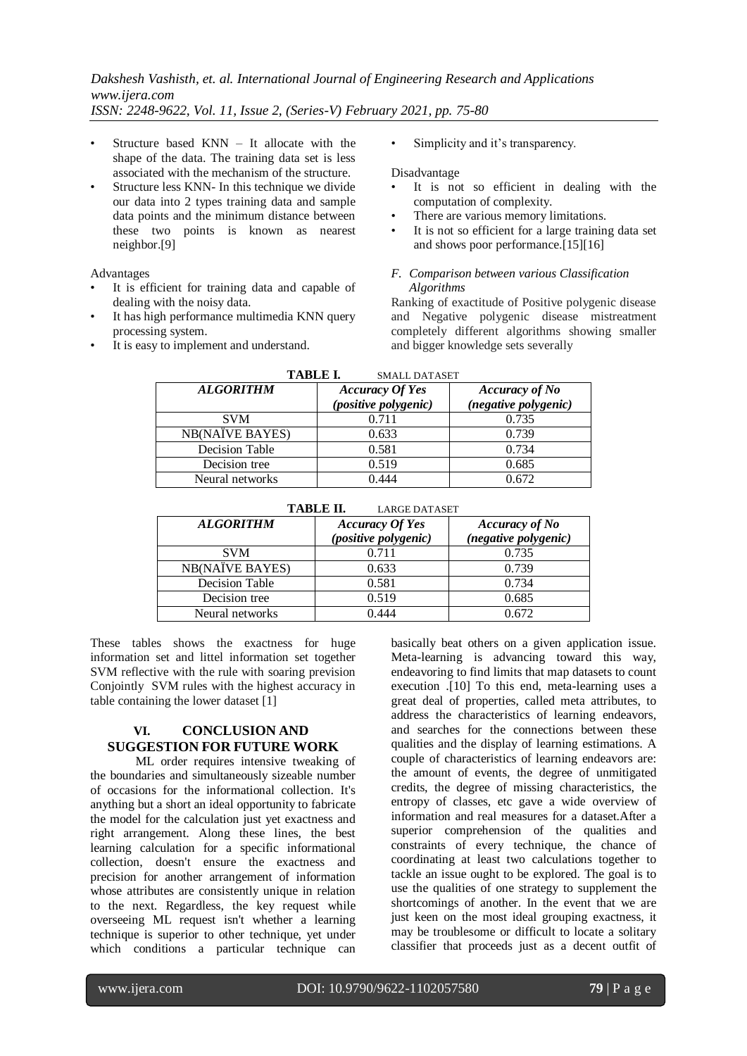# *Dakshesh Vashisth, et. al. International Journal of Engineering Research and Applications www.ijera.com*

*ISSN: 2248-9622, Vol. 11, Issue 2, (Series-V) February 2021, pp. 75-80*

- Structure based KNN It allocate with the shape of the data. The training data set is less associated with the mechanism of the structure.
- Structure less KNN- In this technique we divide our data into 2 types training data and sample data points and the minimum distance between these two points is known as nearest neighbor.[9]

Advantages

- It is efficient for training data and capable of dealing with the noisy data.
- It has high performance multimedia KNN query processing system.
- It is easy to implement and understand.

Simplicity and it's transparency.

Disadvantage

- It is not so efficient in dealing with the computation of complexity.
- There are various memory limitations.
- It is not so efficient for a large training data set and shows poor performance.[15][16]

## *F. Comparison between various Classification Algorithms*

Ranking of exactitude of Positive polygenic disease and Negative polygenic disease mistreatment completely different algorithms showing smaller and bigger knowledge sets severally

| <b>TABLE I.</b><br><b>SMALL DATASET</b> |                                                |                                               |  |
|-----------------------------------------|------------------------------------------------|-----------------------------------------------|--|
| <b>ALGORITHM</b>                        | <b>Accuracy Of Yes</b><br>(positive polygenic) | <b>Accuracy of No</b><br>(negative polygenic) |  |
| <b>SVM</b>                              | 0.711                                          | 0.735                                         |  |
| <b>NB(NAÏVE BAYES)</b>                  | 0.633                                          | 0.739                                         |  |
| Decision Table                          | 0.581                                          | 0.734                                         |  |
| Decision tree                           | 0.519                                          | 0.685                                         |  |
| Neural networks                         | በ 444                                          | 0.672                                         |  |

| TABLE II.<br><b>LARGE DATASET</b> |                                                |                                               |
|-----------------------------------|------------------------------------------------|-----------------------------------------------|
| <b>ALGORITHM</b>                  | <b>Accuracy Of Yes</b><br>(positive polygenic) | <b>Accuracy of No</b><br>(negative polygenic) |
| <b>SVM</b>                        | 0.711                                          | 0.735                                         |
| <b>NB(NAÏVE BAYES)</b>            | 0.633                                          | 0.739                                         |
| Decision Table                    | 0.581                                          | 0.734                                         |
| Decision tree                     | 0.519                                          | 0.685                                         |
| Neural networks                   | ) 444                                          | 0.672                                         |

These tables shows the exactness for huge information set and littel information set together SVM reflective with the rule with soaring prevision Conjointly SVM rules with the highest accuracy in table containing the lower dataset [1]

# **VI. CONCLUSION AND SUGGESTION FOR FUTURE WORK**

ML order requires intensive tweaking of the boundaries and simultaneously sizeable number of occasions for the informational collection. It's anything but a short an ideal opportunity to fabricate the model for the calculation just yet exactness and right arrangement. Along these lines, the best learning calculation for a specific informational collection, doesn't ensure the exactness and precision for another arrangement of information whose attributes are consistently unique in relation to the next. Regardless, the key request while overseeing ML request isn't whether a learning technique is superior to other technique, yet under which conditions a particular technique can basically beat others on a given application issue. Meta-learning is advancing toward this way, endeavoring to find limits that map datasets to count execution .[10] To this end, meta-learning uses a great deal of properties, called meta attributes, to address the characteristics of learning endeavors, and searches for the connections between these qualities and the display of learning estimations. A couple of characteristics of learning endeavors are: the amount of events, the degree of unmitigated credits, the degree of missing characteristics, the entropy of classes, etc gave a wide overview of information and real measures for a dataset.After a superior comprehension of the qualities and constraints of every technique, the chance of coordinating at least two calculations together to tackle an issue ought to be explored. The goal is to use the qualities of one strategy to supplement the shortcomings of another. In the event that we are just keen on the most ideal grouping exactness, it may be troublesome or difficult to locate a solitary classifier that proceeds just as a decent outfit of